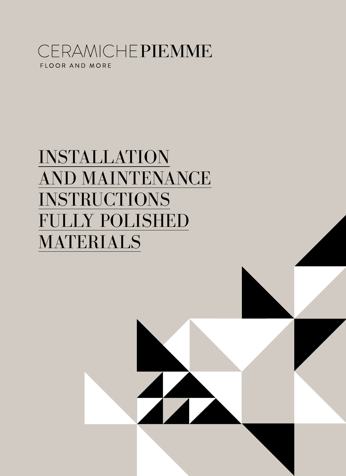# CERAMICHEPIEMME FLOOR AND MORE

# INSTALLATION AND MAINTENANCE INSTRUCTIONS FULLY POLISHED MATERIALS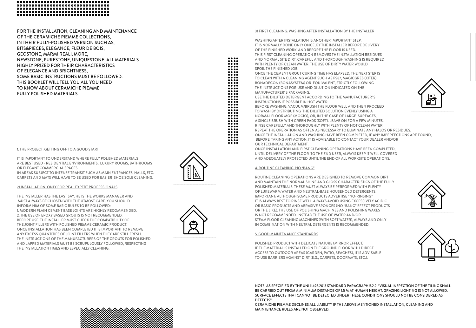# \*\*\*\*\*\*\*\*\*\*\*\*\*\*\*\*\*\*\*\*\*\*\*\*\*\*\*\*\*\*\* \*\*\*\*\*\*\*\*\*\*\*\*\*\*\*\*\*\*\*\*\*\*\*\*\*\*\*\*\*\*\* \*\*\*\*\*\*\*\*\*\*\*\*\*\*\*\*\*\*\*\*\*\*\*\*\*\*\*\*\*\*

FOR THE INSTALLATION, CLEANING AND MAINTENANCE OF THE CERAMICHE PIEMME COLLECTIONS, IN THEIR FULLY-POLISHED VERSION SUCH AS, BITS&PIECES, ELEGANCE, FLEUR DE BOIS, GEOSTONE, MARMI REALI, MORE, NEWSTONE, PURESTONE, UNIQUESTONE, ALL MATERIALS HIGHLY PRIZED FOR THEIR CHARACTERISTICS OF ELEGANCE AND BRIGHTNESS, SOME BASIC INSTRUCTIONS MUST BE FOLLOWED. THIS BOOKLET WILL TELL YOU ALL YOU NEED TO KNOW ABOUT CERAMICHE PIEMME FULLY POLISHED MATERIALS.

# 1. THE PROJECT: GETTING OFF TO A GOOD START

IT IS IMPORTANT TO UNDERSTAND WHERE FULLY POLISHED MATERIALS ARE BEST USED - RESIDENTIAL ENVIRONMENTS, LUXURY ROOMS, BATHROOMS OR ELEGANT COMMERCIAL SPACES.

IN AREAS SUBJECT TO INTENSE TRANSIT SUCH AS MAIN ENTRANCES, HALLS, ETC. CARPETS AND MATS WILL HAVE TO BE USED FOR EASIER SHOE SOLE CLEANING.

### 2) INSTALLATION: ONLY FOR REAL EXPERT PROFESSIONALS

THE INSTALLER HAS THE LAST SAY. HE IS THE WORKS MANAGER AND MUST ALWAYS BE CHOSEN WITH THE UTMOST CARE. YOU SHOULD INFORM HIM OF SOME BASIC RULES TO BE FOLLOWED: 1. MODERN PLAIN CEMENT BASE JOINTS ARE HIGHLY RECOMMENDED. 2. THE USE OF EPOXY BASED GROUTS IS NOT RECOMMENDED. BEFORE USE, THE INSTALLER MUST CHECK THE COMPATIBILITY OF THE JOINT FILLERS WITH POLISHED PIEMME CERAMIC PRODUCT. ONCE INSTALLATION HAS BEEN COMPLETED IT IS IMPORTANT TO REMOVE ANY EXCESS QUANTITIES OF JOINT FILLERS WHEN THEY ARE STILL FRESH. THE INSTRUCTIONS OF THE MANUFACTURERS OF THE GROUTS FOR POLISHED AND LAPPED MATERIALS MUST BE SCRUPULOUSLY FOLLOWED, RESPECTING THE INSTALLATION TIMES AND ESPECIALLY CLEANING.



.... . . . . .... . . . . . . . . .... . . . .

. . . .  $\bullet\bullet\bullet\bullet$ . . . .  $\bullet\bullet\bullet\bullet$ . . . .  $\bullet\bullet\bullet\bullet$  $\bullet\bullet\bullet\bullet$  $\bullet\bullet\bullet\bullet$  $\bullet\bullet\bullet\bullet$ ....



#### 3) FIRST CLEANING: WASHING AFTER INSTALLATION BY THE INSTALLER

WASHING AFTER INSTALLATION IS ANOTHER IMPORTANT STEP. IT IS NORMALLY DONE ONLY ONCE, BY THE INSTALLER BEFORE DELIVERY OF THE FINISHED WORK AND BEFORE THE FLOOR IS USED. THIS FIRST CLEANING OPERATION REMOVES THE INSTALLATION RESIDUES AND NORMAL SITE DIRT. CAREFUL AND THOROUGH WASHING IS REQUIRED WITH PLENTY OF CLEAN WATER; THE USE OF DIRTY WATER WOULD SPOIL THE FINISHED JOB.

ONCE THE CEMENT GROUT CURING TIME HAS ELAPSED, THE NEXT STEP IS TO CLEAN WITH A CLEANING AGENT SUCH AS PS87, MAGICGRES (KITER), BONADECON (BONASYSTEM) OR EQUIVALENT, STRICTLY FOLLOWING THE INSTRUCTIONS FOR USE AND DILUTION INDICATED ON THE MANUFACTURER' S PACKAGING.

USE THE DILUTED DETERGENT ACCORDING TO THE MANUFACTURER' S INSTRUCTIONS IF POSSIBLE IN HOT WATER.

BEFORE WASHING, VACUUM/BRUSH THE FLOOR WELL AND THEN PROCEED TO WASH BY DISTRIBUTING THE DILUTED SOLUTION EVENLY USING A NORMAL FLOOR MOP (MOCIO), OR, IN THE CASE OF LARGE SURFACES, A SINGLE BRUSH WITH GREEN PADS (SOFT). LEAVE ON FOR A FEW MINUTES. RINSE CAREFULLY AND THOROUGHLY WITH PLENTY OF HOT CLEAN WATER.

REPEAT THE OPERATION AS OFTEN AS NECESSARY TO ELIMINATE ANY HALOS OR RESIDUES. ONCE THE INSTALLATION AND WASHING HAVE BEEN COMPLETED, IF ANY IMPERFECTIONS ARE FOUND, BEFORE TAKING ANY ACTION, IT IS ADVISABLE TO CONTACT YOUR DEALER AND/OR OUR TECHNICAL DEPARTMENT.

ONCE INSTALLATION AND FIRST CLEANING OPERATIONS HAVE BEEN COMPLETED, UNTIL DELIVERY OF THE FLOOR TO THE END USER, ALWAYS KEEP IT WELL COVERED AND ADEQUATELY PROTECTED UNTIL THE END OF ALL WORKSITE OPERATIONS.

# 4. ROUTINE CLEANING: NO "BANG"

ROUTINE CLEANING OPERATIONS ARE DESIGNED TO REMOVE COMMON DIRT AND MAINTAIN THE NORMAL SHINE AND GLOSS CHARACTERISTICS OF THE FULLY POLISHED MATERIALS. THESE MUST ALWAYS BE PERFORMED WITH PLENTY OF LUKEWARM WATER AND NEUTRAL-BASE HOUSEHOLD DETERGENTS. IMPORTANT: ALTHOUGH SOME PRODUCTS ADVERTISE "NO-RINSING" IT IS ALWAYS BEST TO RINSE WELL. ALWAYS AVOID USING EXCESSIVELY ACIDIC OR BASIC PRODUCTS AND ABRASIVE SPONGES (NO "BANG" EFFECT PRODUCTS OR THE LIKE). THE USE OF POLISHING MACHINES AND POLISHING WAXES IS NOT RECOMMENDED. INSTEAD THE USE OF WATER AND/OR STEAM FLOOR CLEANING MACHINES (WITH SOFT WATER), ALWAYS AND ONLY IN COMBINATION WITH NEUTRAL DETERGENTS IS RECOMMENDED.

# 5. GOOD MAINTENANCE STANDARDS

POLISHED PRODUCT WITH DELICATE NATURE (MIRROR EFFECT). IF THE MATERIAL IS INSTALLED ON THE GROUND FLOOR WITH DIRECT ACCESS TO OUTDOOR AREAS (GARDEN, PATIO, BEACHES), IT IS ADVISABLE TO USE BARRIERS AGAINST DIRT (E.G., CARPETS, DOORMATS, ETC.).



NOTE: AS SPECIFIED BY THE UNI 11493.2013 STANDARD PARAGRAPH 5.2.2: "VISUAL INSPECTION OF THE TILING SHALL BE CARRIED OUT FROM A MINIMUM DISTANCE OF 1.5 M AT HUMAN HEIGHT. GRAZING LIGHTING IS NOT ALLOWED. SURFACE EFFECTS THAT CANNOT BE DETECTED UNDER THESE CONDITIONS SHOULD NOT BE CONSIDERED AS DEFECTS".

CERAMICHE PIEMME DECLINES ALL LIABILITY IF THE ABOVE MENTIONED INSTALLATION, CLEANING AND MAINTENANCE RULES ARE NOT OBSERVED.